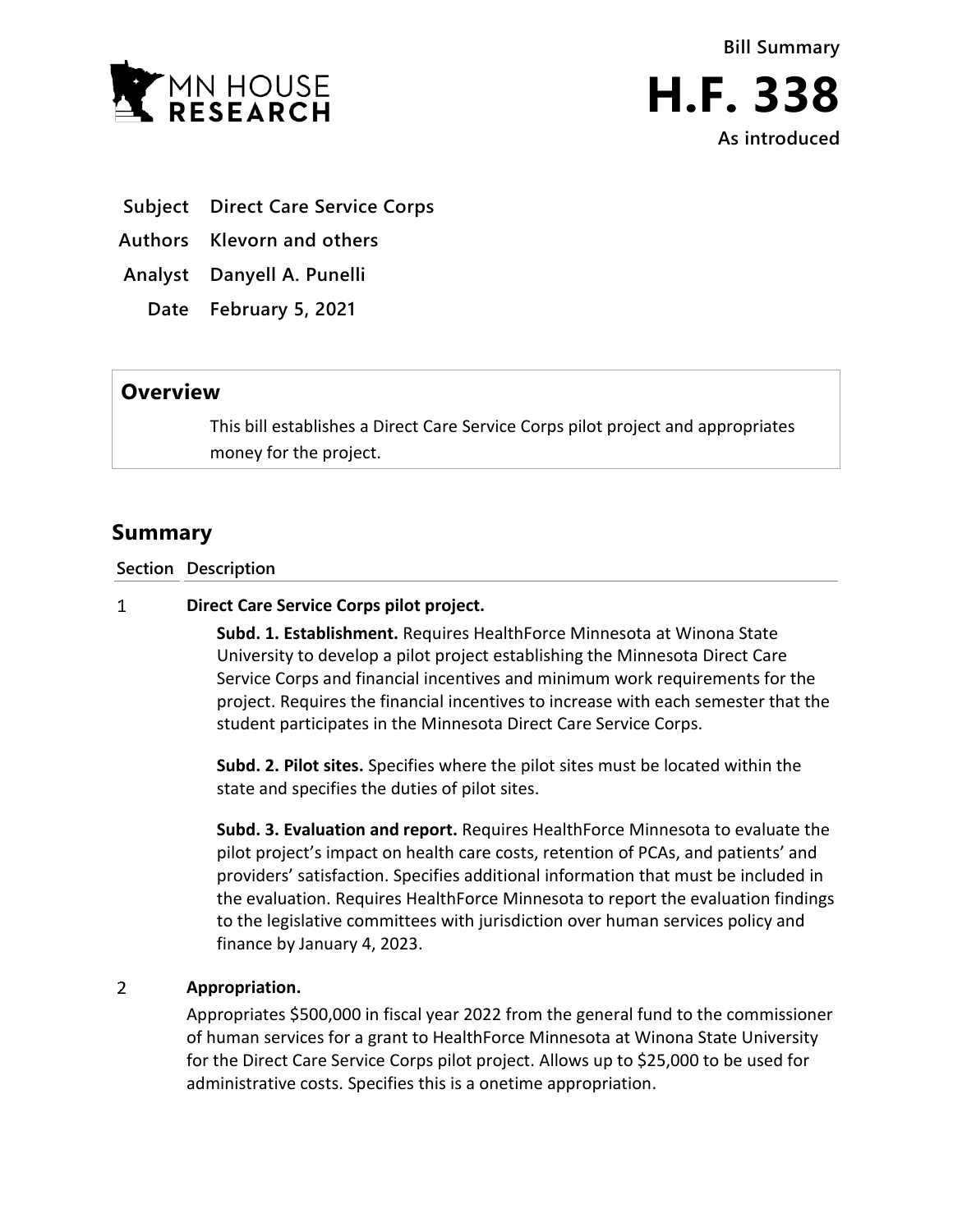

**As introduced**

- **Subject Direct Care Service Corps**
- **Authors Klevorn and others**

**Analyst Danyell A. Punelli**

**Date February 5, 2021**

## **Overview**

This bill establishes a Direct Care Service Corps pilot project and appropriates money for the project.

## **Summary**

**Section Description**

## $\mathbf{1}$ **Direct Care Service Corps pilot project.**

**Subd. 1. Establishment.** Requires HealthForce Minnesota at Winona State University to develop a pilot project establishing the Minnesota Direct Care Service Corps and financial incentives and minimum work requirements for the project. Requires the financial incentives to increase with each semester that the student participates in the Minnesota Direct Care Service Corps.

**Subd. 2. Pilot sites.** Specifies where the pilot sites must be located within the state and specifies the duties of pilot sites.

**Subd. 3. Evaluation and report.** Requires HealthForce Minnesota to evaluate the pilot project's impact on health care costs, retention of PCAs, and patients' and providers' satisfaction. Specifies additional information that must be included in the evaluation. Requires HealthForce Minnesota to report the evaluation findings to the legislative committees with jurisdiction over human services policy and finance by January 4, 2023.

## $\overline{2}$ **Appropriation.**

Appropriates \$500,000 in fiscal year 2022 from the general fund to the commissioner of human services for a grant to HealthForce Minnesota at Winona State University for the Direct Care Service Corps pilot project. Allows up to \$25,000 to be used for administrative costs. Specifies this is a onetime appropriation.